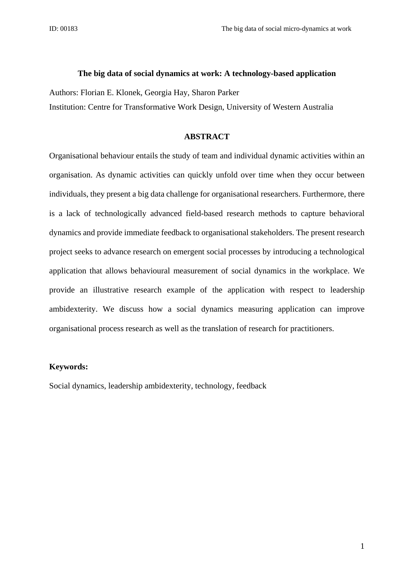### **The big data of social dynamics at work: A technology-based application**

Authors: Florian E. Klonek, Georgia Hay, Sharon Parker

Institution: Centre for Transformative Work Design, University of Western Australia

### **ABSTRACT**

Organisational behaviour entails the study of team and individual dynamic activities within an organisation. As dynamic activities can quickly unfold over time when they occur between individuals, they present a big data challenge for organisational researchers. Furthermore, there is a lack of technologically advanced field-based research methods to capture behavioral dynamics and provide immediate feedback to organisational stakeholders. The present research project seeks to advance research on emergent social processes by introducing a technological application that allows behavioural measurement of social dynamics in the workplace. We provide an illustrative research example of the application with respect to leadership ambidexterity. We discuss how a social dynamics measuring application can improve organisational process research as well as the translation of research for practitioners.

### **Keywords:**

Social dynamics, leadership ambidexterity, technology, feedback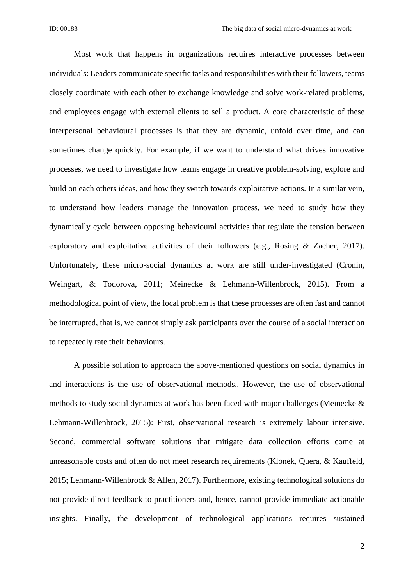Most work that happens in organizations requires interactive processes between individuals: Leaders communicate specific tasks and responsibilities with their followers, teams closely coordinate with each other to exchange knowledge and solve work-related problems, and employees engage with external clients to sell a product. A core characteristic of these interpersonal behavioural processes is that they are dynamic, unfold over time, and can sometimes change quickly. For example, if we want to understand what drives innovative processes, we need to investigate how teams engage in creative problem-solving, explore and build on each others ideas, and how they switch towards exploitative actions. In a similar vein, to understand how leaders manage the innovation process, we need to study how they dynamically cycle between opposing behavioural activities that regulate the tension between exploratory and exploitative activities of their followers (e.g., Rosing & Zacher, 2017). Unfortunately, these micro-social dynamics at work are still under-investigated (Cronin, Weingart, & Todorova, 2011; Meinecke & Lehmann-Willenbrock, 2015). From a methodological point of view, the focal problem is that these processes are often fast and cannot be interrupted, that is, we cannot simply ask participants over the course of a social interaction to repeatedly rate their behaviours.

A possible solution to approach the above-mentioned questions on social dynamics in and interactions is the use of observational methods.. However, the use of observational methods to study social dynamics at work has been faced with major challenges (Meinecke & Lehmann-Willenbrock, 2015): First, observational research is extremely labour intensive. Second, commercial software solutions that mitigate data collection efforts come at unreasonable costs and often do not meet research requirements (Klonek, Quera, & Kauffeld, 2015; Lehmann-Willenbrock & Allen, 2017). Furthermore, existing technological solutions do not provide direct feedback to practitioners and, hence, cannot provide immediate actionable insights. Finally, the development of technological applications requires sustained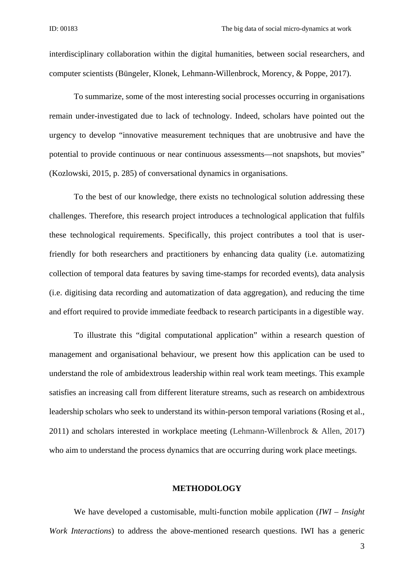interdisciplinary collaboration within the digital humanities, between social researchers, and computer scientists (Büngeler, Klonek, Lehmann-Willenbrock, Morency, & Poppe, 2017).

To summarize, some of the most interesting social processes occurring in organisations remain under-investigated due to lack of technology. Indeed, scholars have pointed out the urgency to develop "innovative measurement techniques that are unobtrusive and have the potential to provide continuous or near continuous assessments—not snapshots, but movies" (Kozlowski, 2015, p. 285) of conversational dynamics in organisations.

To the best of our knowledge, there exists no technological solution addressing these challenges. Therefore, this research project introduces a technological application that fulfils these technological requirements. Specifically, this project contributes a tool that is userfriendly for both researchers and practitioners by enhancing data quality (i.e. automatizing collection of temporal data features by saving time-stamps for recorded events), data analysis (i.e. digitising data recording and automatization of data aggregation), and reducing the time and effort required to provide immediate feedback to research participants in a digestible way.

To illustrate this "digital computational application" within a research question of management and organisational behaviour, we present how this application can be used to understand the role of ambidextrous leadership within real work team meetings. This example satisfies an increasing call from different literature streams, such as research on ambidextrous leadership scholars who seek to understand its within-person temporal variations (Rosing et al., 2011) and scholars interested in workplace meeting (Lehmann-Willenbrock & Allen, 2017) who aim to understand the process dynamics that are occurring during work place meetings.

#### **METHODOLOGY**

We have developed a customisable, multi-function mobile application (*IWI – Insight Work Interactions*) to address the above-mentioned research questions. IWI has a generic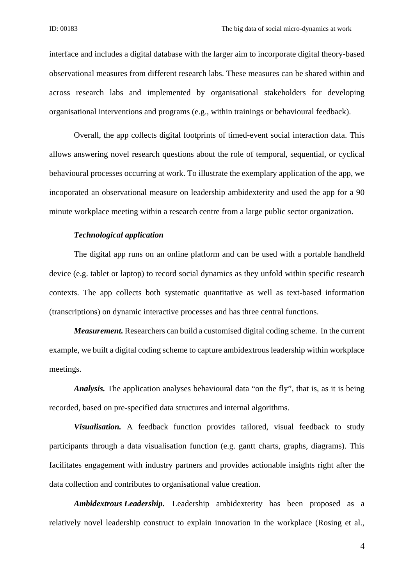interface and includes a digital database with the larger aim to incorporate digital theory-based observational measures from different research labs. These measures can be shared within and across research labs and implemented by organisational stakeholders for developing organisational interventions and programs (e.g., within trainings or behavioural feedback).

Overall, the app collects digital footprints of timed-event social interaction data. This allows answering novel research questions about the role of temporal, sequential, or cyclical behavioural processes occurring at work. To illustrate the exemplary application of the app, we incoporated an observational measure on leadership ambidexterity and used the app for a 90 minute workplace meeting within a research centre from a large public sector organization.

## *Technological application*

The digital app runs on an online platform and can be used with a portable handheld device (e.g. tablet or laptop) to record social dynamics as they unfold within specific research contexts. The app collects both systematic quantitative as well as text-based information (transcriptions) on dynamic interactive processes and has three central functions.

*Measurement.* Researchers can build a customised digital coding scheme. In the current example, we built a digital coding scheme to capture ambidextrous leadership within workplace meetings.

*Analysis.* The application analyses behavioural data "on the fly", that is, as it is being recorded, based on pre-specified data structures and internal algorithms.

*Visualisation.* A feedback function provides tailored, visual feedback to study participants through a data visualisation function (e.g. gantt charts, graphs, diagrams). This facilitates engagement with industry partners and provides actionable insights right after the data collection and contributes to organisational value creation.

*Ambidextrous Leadership.* Leadership ambidexterity has been proposed as a relatively novel leadership construct to explain innovation in the workplace (Rosing et al.,

4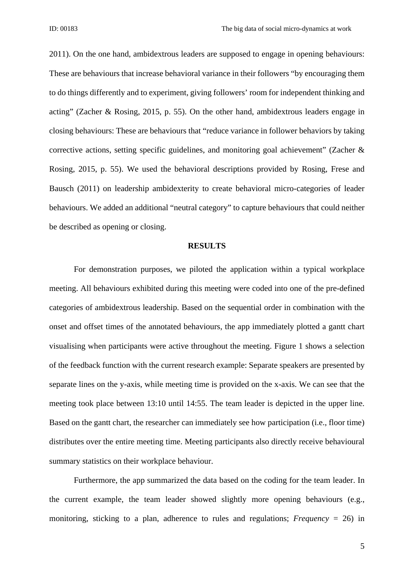2011). On the one hand, ambidextrous leaders are supposed to engage in opening behaviours: These are behaviours that increase behavioral variance in their followers "by encouraging them to do things differently and to experiment, giving followers' room for independent thinking and acting" (Zacher & Rosing, 2015, p. 55). On the other hand, ambidextrous leaders engage in closing behaviours: These are behaviours that "reduce variance in follower behaviors by taking corrective actions, setting specific guidelines, and monitoring goal achievement" (Zacher & Rosing, 2015, p. 55). We used the behavioral descriptions provided by Rosing, Frese and Bausch (2011) on leadership ambidexterity to create behavioral micro-categories of leader behaviours. We added an additional "neutral category" to capture behaviours that could neither be described as opening or closing.

#### **RESULTS**

For demonstration purposes, we piloted the application within a typical workplace meeting. All behaviours exhibited during this meeting were coded into one of the pre-defined categories of ambidextrous leadership. Based on the sequential order in combination with the onset and offset times of the annotated behaviours, the app immediately plotted a gantt chart visualising when participants were active throughout the meeting. Figure 1 shows a selection of the feedback function with the current research example: Separate speakers are presented by separate lines on the y-axis, while meeting time is provided on the x-axis. We can see that the meeting took place between 13:10 until 14:55. The team leader is depicted in the upper line. Based on the gantt chart, the researcher can immediately see how participation (i.e., floor time) distributes over the entire meeting time. Meeting participants also directly receive behavioural summary statistics on their workplace behaviour.

 Furthermore, the app summarized the data based on the coding for the team leader. In the current example, the team leader showed slightly more opening behaviours (e.g., monitoring, sticking to a plan, adherence to rules and regulations; *Frequency* = 26) in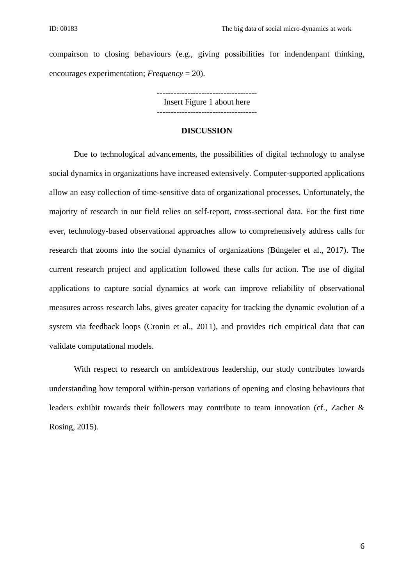compairson to closing behaviours (e.g., giving possibilities for indendenpant thinking, encourages experimentation; *Frequency* = 20).

> ------------------------------------ Insert Figure 1 about here

------------------------------------

### **DISCUSSION**

Due to technological advancements, the possibilities of digital technology to analyse social dynamics in organizations have increased extensively. Computer-supported applications allow an easy collection of time-sensitive data of organizational processes. Unfortunately, the majority of research in our field relies on self-report, cross-sectional data. For the first time ever, technology-based observational approaches allow to comprehensively address calls for research that zooms into the social dynamics of organizations (Büngeler et al., 2017). The current research project and application followed these calls for action. The use of digital applications to capture social dynamics at work can improve reliability of observational measures across research labs, gives greater capacity for tracking the dynamic evolution of a system via feedback loops (Cronin et al., 2011), and provides rich empirical data that can validate computational models.

With respect to research on ambidextrous leadership, our study contributes towards understanding how temporal within-person variations of opening and closing behaviours that leaders exhibit towards their followers may contribute to team innovation (cf., Zacher & Rosing, 2015).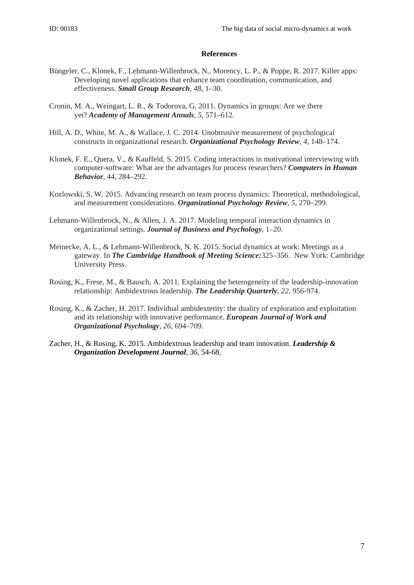### **References**

- Büngeler, C., Klonek, F., Lehmann-Willenbrock, N., Morency, L. P., & Poppe, R. 2017. Killer apps: Developing novel applications that enhance team coordination, communication, and effectiveness. *Small Group Research, 48*, 1–30.
- Cronin, M. A., Weingart, L. R., & Todorova, G. 2011. Dynamics in groups: Are we there yet? *Academy of Management Annals*, *5*, 571–612.
- Hill, A. D., White, M. A., & Wallace, J. C. 2014. Unobtrusive measurement of psychological constructs in organizational research. *Organizational Psychology Review, 4*, 148–174.
- Klonek, F. E., Quera, V., & Kauffeld, S. 2015. Coding interactions in motivational interviewing with computer-software: What are the advantages for process researchers? *Computers in Human Behavior*, 44, 284–292.
- Kozlowski, S. W. 2015. Advancing research on team process dynamics: Theoretical, methodological, and measurement considerations. *Organizational Psychology Review*, *5*, 270–299.
- Lehmann-Willenbrock, N., & Allen, J. A. 2017. Modeling temporal interaction dynamics in organizational settings. *Journal of Business and Psychology*, 1–20.
- Meinecke, A. L., & Lehmann-Willenbrock, N. K. 2015. Social dynamics at work: Meetings as a gateway. In *The Cambridge Handbook of Meeting Science:*325–356. New York: Cambridge University Press.
- Rosing, K., Frese, M., & Bausch, A. 2011. Explaining the heterogeneity of the leadership-innovation relationship: Ambidextrous leadership. *The Leadership Quarterly*, *22*, 956-974.
- Rosing, K., & Zacher, H. 2017. Individual ambidexterity: the duality of exploration and exploitation and its relationship with innovative performance. *European Journal of Work and Organizational Psychology, 26*, 694–709.
- Zacher, H., & Rosing, K. 2015. Ambidextrous leadership and team innovation. *Leadership & Organization Development Journal*, *36*, 54-68.